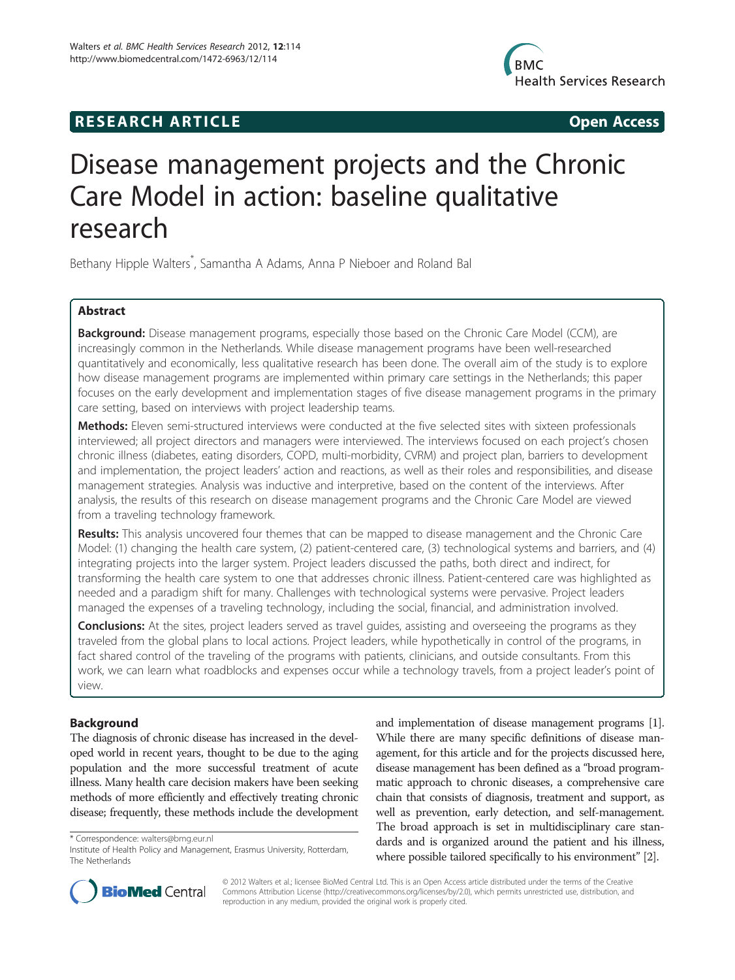# **RESEARCH ARTICLE Example 2018 12:00 Open Access**



# Disease management projects and the Chronic Care Model in action: baseline qualitative research

Bethany Hipple Walters\* , Samantha A Adams, Anna P Nieboer and Roland Bal

# Abstract

Background: Disease management programs, especially those based on the Chronic Care Model (CCM), are increasingly common in the Netherlands. While disease management programs have been well-researched quantitatively and economically, less qualitative research has been done. The overall aim of the study is to explore how disease management programs are implemented within primary care settings in the Netherlands; this paper focuses on the early development and implementation stages of five disease management programs in the primary care setting, based on interviews with project leadership teams.

Methods: Eleven semi-structured interviews were conducted at the five selected sites with sixteen professionals interviewed; all project directors and managers were interviewed. The interviews focused on each project's chosen chronic illness (diabetes, eating disorders, COPD, multi-morbidity, CVRM) and project plan, barriers to development and implementation, the project leaders' action and reactions, as well as their roles and responsibilities, and disease management strategies. Analysis was inductive and interpretive, based on the content of the interviews. After analysis, the results of this research on disease management programs and the Chronic Care Model are viewed from a traveling technology framework.

Results: This analysis uncovered four themes that can be mapped to disease management and the Chronic Care Model: (1) changing the health care system, (2) patient-centered care, (3) technological systems and barriers, and (4) integrating projects into the larger system. Project leaders discussed the paths, both direct and indirect, for transforming the health care system to one that addresses chronic illness. Patient-centered care was highlighted as needed and a paradigm shift for many. Challenges with technological systems were pervasive. Project leaders managed the expenses of a traveling technology, including the social, financial, and administration involved.

Conclusions: At the sites, project leaders served as travel guides, assisting and overseeing the programs as they traveled from the global plans to local actions. Project leaders, while hypothetically in control of the programs, in fact shared control of the traveling of the programs with patients, clinicians, and outside consultants. From this work, we can learn what roadblocks and expenses occur while a technology travels, from a project leader's point of view.

### Background

The diagnosis of chronic disease has increased in the developed world in recent years, thought to be due to the aging population and the more successful treatment of acute illness. Many health care decision makers have been seeking methods of more efficiently and effectively treating chronic disease; frequently, these methods include the development

\* Correspondence: [walters@bmg.eur.nl](mailto:walters@bmg.eur.nl)

and implementation of disease management programs [[1](#page-9-0)]. While there are many specific definitions of disease management, for this article and for the projects discussed here, disease management has been defined as a "broad programmatic approach to chronic diseases, a comprehensive care chain that consists of diagnosis, treatment and support, as well as prevention, early detection, and self-management. The broad approach is set in multidisciplinary care standards and is organized around the patient and his illness, where possible tailored specifically to his environment" [\[2](#page-9-0)].



© 2012 Walters et al.; licensee BioMed Central Ltd. This is an Open Access article distributed under the terms of the Creative Commons Attribution License [\(http://creativecommons.org/licenses/by/2.0\)](http://creativecommons.org/licenses/by/2.0), which permits unrestricted use, distribution, and reproduction in any medium, provided the original work is properly cited.

Institute of Health Policy and Management, Erasmus University, Rotterdam, The Netherlands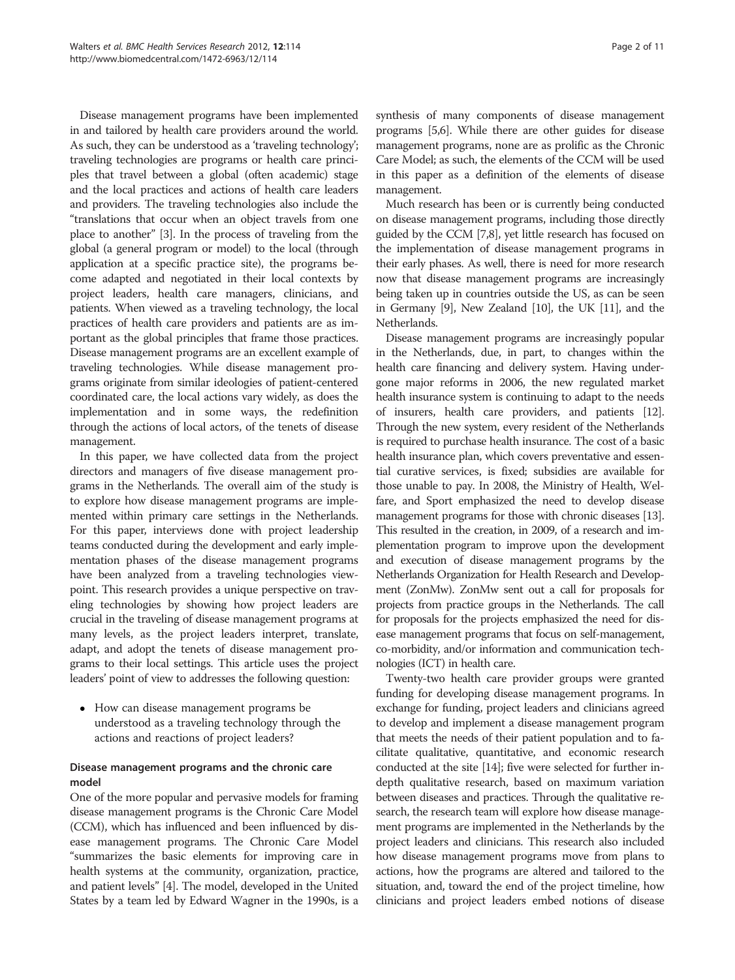Disease management programs have been implemented in and tailored by health care providers around the world. As such, they can be understood as a 'traveling technology'; traveling technologies are programs or health care principles that travel between a global (often academic) stage and the local practices and actions of health care leaders and providers. The traveling technologies also include the "translations that occur when an object travels from one place to another" [\[3](#page-9-0)]. In the process of traveling from the global (a general program or model) to the local (through application at a specific practice site), the programs become adapted and negotiated in their local contexts by project leaders, health care managers, clinicians, and patients. When viewed as a traveling technology, the local practices of health care providers and patients are as important as the global principles that frame those practices. Disease management programs are an excellent example of traveling technologies. While disease management programs originate from similar ideologies of patient-centered coordinated care, the local actions vary widely, as does the implementation and in some ways, the redefinition through the actions of local actors, of the tenets of disease management.

In this paper, we have collected data from the project directors and managers of five disease management programs in the Netherlands. The overall aim of the study is to explore how disease management programs are implemented within primary care settings in the Netherlands. For this paper, interviews done with project leadership teams conducted during the development and early implementation phases of the disease management programs have been analyzed from a traveling technologies viewpoint. This research provides a unique perspective on traveling technologies by showing how project leaders are crucial in the traveling of disease management programs at many levels, as the project leaders interpret, translate, adapt, and adopt the tenets of disease management programs to their local settings. This article uses the project leaders' point of view to addresses the following question:

 How can disease management programs be understood as a traveling technology through the actions and reactions of project leaders?

# Disease management programs and the chronic care model

One of the more popular and pervasive models for framing disease management programs is the Chronic Care Model (CCM), which has influenced and been influenced by disease management programs. The Chronic Care Model "summarizes the basic elements for improving care in health systems at the community, organization, practice, and patient levels" [[4](#page-9-0)]. The model, developed in the United States by a team led by Edward Wagner in the 1990s, is a

synthesis of many components of disease management programs [[5,6](#page-9-0)]. While there are other guides for disease management programs, none are as prolific as the Chronic Care Model; as such, the elements of the CCM will be used in this paper as a definition of the elements of disease management.

Much research has been or is currently being conducted on disease management programs, including those directly guided by the CCM [\[7,8\]](#page-9-0), yet little research has focused on the implementation of disease management programs in their early phases. As well, there is need for more research now that disease management programs are increasingly being taken up in countries outside the US, as can be seen in Germany [\[9\]](#page-9-0), New Zealand [\[10\]](#page-9-0), the UK [\[11\]](#page-9-0), and the Netherlands.

Disease management programs are increasingly popular in the Netherlands, due, in part, to changes within the health care financing and delivery system. Having undergone major reforms in 2006, the new regulated market health insurance system is continuing to adapt to the needs of insurers, health care providers, and patients [\[12](#page-9-0)]. Through the new system, every resident of the Netherlands is required to purchase health insurance. The cost of a basic health insurance plan, which covers preventative and essential curative services, is fixed; subsidies are available for those unable to pay. In 2008, the Ministry of Health, Welfare, and Sport emphasized the need to develop disease management programs for those with chronic diseases [\[13](#page-9-0)]. This resulted in the creation, in 2009, of a research and implementation program to improve upon the development and execution of disease management programs by the Netherlands Organization for Health Research and Development (ZonMw). ZonMw sent out a call for proposals for projects from practice groups in the Netherlands. The call for proposals for the projects emphasized the need for disease management programs that focus on self-management, co-morbidity, and/or information and communication technologies (ICT) in health care.

Twenty-two health care provider groups were granted funding for developing disease management programs. In exchange for funding, project leaders and clinicians agreed to develop and implement a disease management program that meets the needs of their patient population and to facilitate qualitative, quantitative, and economic research conducted at the site [\[14](#page-9-0)]; five were selected for further indepth qualitative research, based on maximum variation between diseases and practices. Through the qualitative research, the research team will explore how disease management programs are implemented in the Netherlands by the project leaders and clinicians. This research also included how disease management programs move from plans to actions, how the programs are altered and tailored to the situation, and, toward the end of the project timeline, how clinicians and project leaders embed notions of disease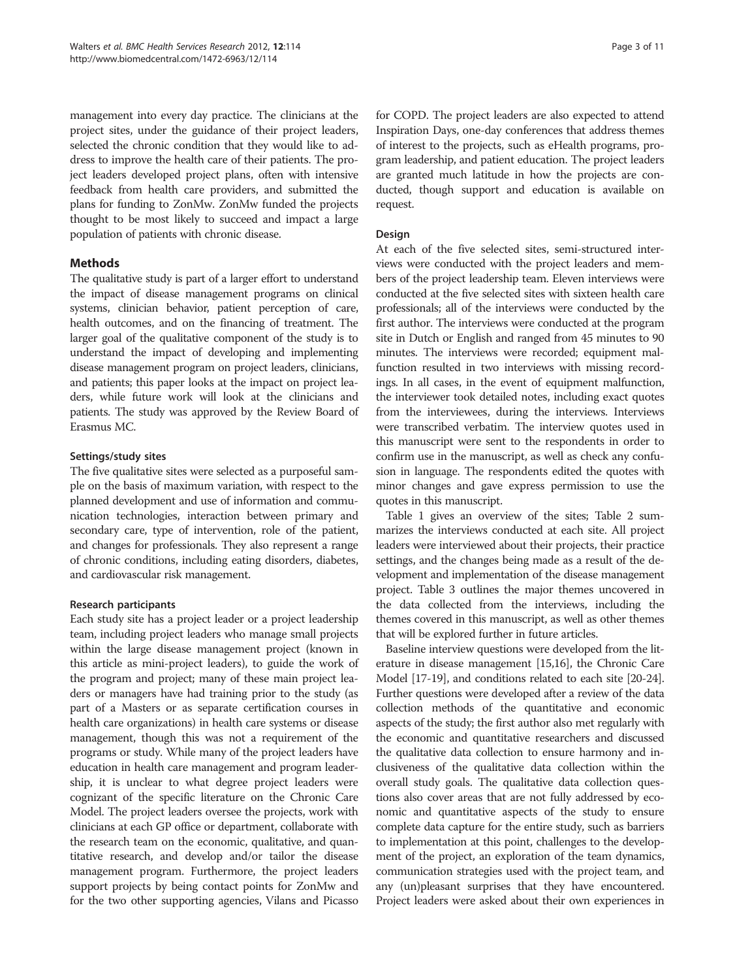management into every day practice. The clinicians at the project sites, under the guidance of their project leaders, selected the chronic condition that they would like to address to improve the health care of their patients. The project leaders developed project plans, often with intensive feedback from health care providers, and submitted the plans for funding to ZonMw. ZonMw funded the projects thought to be most likely to succeed and impact a large population of patients with chronic disease.

# **Methods**

The qualitative study is part of a larger effort to understand the impact of disease management programs on clinical systems, clinician behavior, patient perception of care, health outcomes, and on the financing of treatment. The larger goal of the qualitative component of the study is to understand the impact of developing and implementing disease management program on project leaders, clinicians, and patients; this paper looks at the impact on project leaders, while future work will look at the clinicians and patients. The study was approved by the Review Board of Erasmus MC.

### Settings/study sites

The five qualitative sites were selected as a purposeful sample on the basis of maximum variation, with respect to the planned development and use of information and communication technologies, interaction between primary and secondary care, type of intervention, role of the patient, and changes for professionals. They also represent a range of chronic conditions, including eating disorders, diabetes, and cardiovascular risk management.

### Research participants

Each study site has a project leader or a project leadership team, including project leaders who manage small projects within the large disease management project (known in this article as mini-project leaders), to guide the work of the program and project; many of these main project leaders or managers have had training prior to the study (as part of a Masters or as separate certification courses in health care organizations) in health care systems or disease management, though this was not a requirement of the programs or study. While many of the project leaders have education in health care management and program leadership, it is unclear to what degree project leaders were cognizant of the specific literature on the Chronic Care Model. The project leaders oversee the projects, work with clinicians at each GP office or department, collaborate with the research team on the economic, qualitative, and quantitative research, and develop and/or tailor the disease management program. Furthermore, the project leaders support projects by being contact points for ZonMw and for the two other supporting agencies, Vilans and Picasso

for COPD. The project leaders are also expected to attend Inspiration Days, one-day conferences that address themes of interest to the projects, such as eHealth programs, program leadership, and patient education. The project leaders are granted much latitude in how the projects are conducted, though support and education is available on request.

# Design

At each of the five selected sites, semi-structured interviews were conducted with the project leaders and members of the project leadership team. Eleven interviews were conducted at the five selected sites with sixteen health care professionals; all of the interviews were conducted by the first author. The interviews were conducted at the program site in Dutch or English and ranged from 45 minutes to 90 minutes. The interviews were recorded; equipment malfunction resulted in two interviews with missing recordings. In all cases, in the event of equipment malfunction, the interviewer took detailed notes, including exact quotes from the interviewees, during the interviews. Interviews were transcribed verbatim. The interview quotes used in this manuscript were sent to the respondents in order to confirm use in the manuscript, as well as check any confusion in language. The respondents edited the quotes with minor changes and gave express permission to use the quotes in this manuscript.

Table [1](#page-3-0) gives an overview of the sites; Table [2](#page-3-0) summarizes the interviews conducted at each site. All project leaders were interviewed about their projects, their practice settings, and the changes being made as a result of the development and implementation of the disease management project. Table [3](#page-4-0) outlines the major themes uncovered in the data collected from the interviews, including the themes covered in this manuscript, as well as other themes that will be explored further in future articles.

Baseline interview questions were developed from the literature in disease management [[15,16\]](#page-9-0), the Chronic Care Model [[17](#page-9-0)-[19\]](#page-9-0), and conditions related to each site [\[20](#page-9-0)[-24](#page-10-0)]. Further questions were developed after a review of the data collection methods of the quantitative and economic aspects of the study; the first author also met regularly with the economic and quantitative researchers and discussed the qualitative data collection to ensure harmony and inclusiveness of the qualitative data collection within the overall study goals. The qualitative data collection questions also cover areas that are not fully addressed by economic and quantitative aspects of the study to ensure complete data capture for the entire study, such as barriers to implementation at this point, challenges to the development of the project, an exploration of the team dynamics, communication strategies used with the project team, and any (un)pleasant surprises that they have encountered. Project leaders were asked about their own experiences in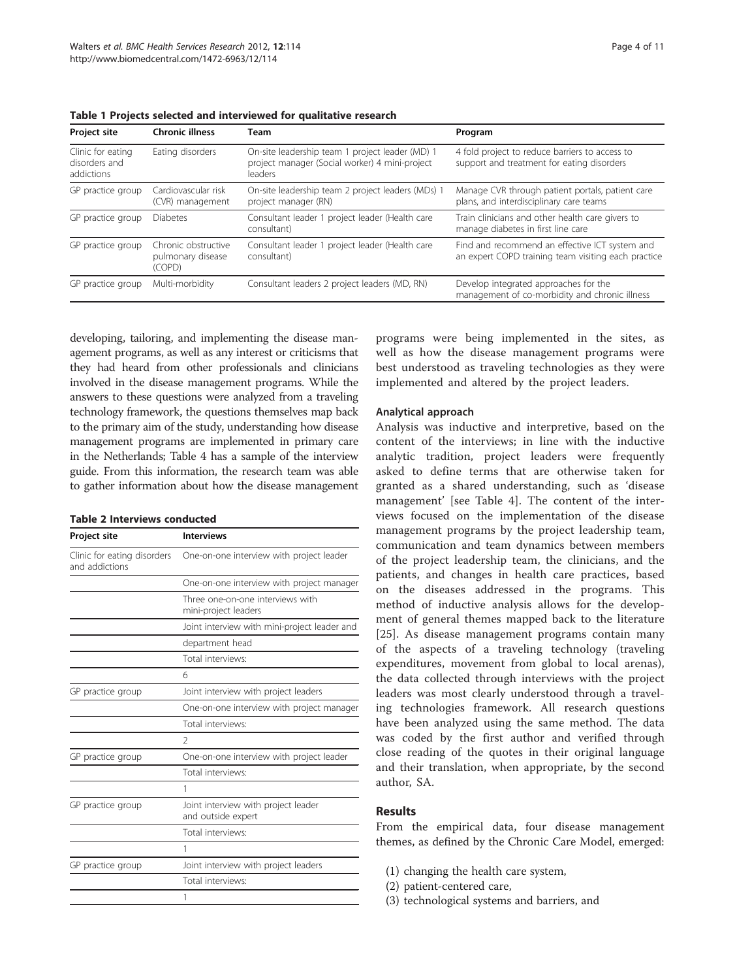| Project site                                     | <b>Chronic illness</b>                             | Team                                                                                                         | Program                                                                                               |
|--------------------------------------------------|----------------------------------------------------|--------------------------------------------------------------------------------------------------------------|-------------------------------------------------------------------------------------------------------|
| Clinic for eating<br>disorders and<br>addictions | Eating disorders                                   | On-site leadership team 1 project leader (MD) 1<br>project manager (Social worker) 4 mini-project<br>leaders | 4 fold project to reduce barriers to access to<br>support and treatment for eating disorders          |
| GP practice group                                | Cardiovascular risk<br>(CVR) management            | On-site leadership team 2 project leaders (MDs) 1<br>project manager (RN)                                    | Manage CVR through patient portals, patient care<br>plans, and interdisciplinary care teams           |
| GP practice group                                | <b>Diabetes</b>                                    | Consultant leader 1 project leader (Health care<br>consultant)                                               | Train clinicians and other health care givers to<br>manage diabetes in first line care                |
| GP practice group                                | Chronic obstructive<br>pulmonary disease<br>(COPD) | Consultant leader 1 project leader (Health care<br>consultant)                                               | Find and recommend an effective ICT system and<br>an expert COPD training team visiting each practice |
| GP practice group                                | Multi-morbidity                                    | Consultant leaders 2 project leaders (MD, RN)                                                                | Develop integrated approaches for the<br>management of co-morbidity and chronic illness               |

<span id="page-3-0"></span>Table 1 Projects selected and interviewed for qualitative research

developing, tailoring, and implementing the disease management programs, as well as any interest or criticisms that they had heard from other professionals and clinicians involved in the disease management programs. While the answers to these questions were analyzed from a traveling technology framework, the questions themselves map back to the primary aim of the study, understanding how disease management programs are implemented in primary care in the Netherlands; Table [4](#page-4-0) has a sample of the interview guide. From this information, the research team was able to gather information about how the disease management

|  |  | <b>Table 2 Interviews conducted</b> |  |
|--|--|-------------------------------------|--|
|--|--|-------------------------------------|--|

| <b>Project site</b>                           | <b>Interviews</b>                                         |  |  |  |
|-----------------------------------------------|-----------------------------------------------------------|--|--|--|
| Clinic for eating disorders<br>and addictions | One-on-one interview with project leader                  |  |  |  |
|                                               | One-on-one interview with project manager                 |  |  |  |
|                                               | Three one-on-one interviews with<br>mini-project leaders  |  |  |  |
|                                               | Joint interview with mini-project leader and              |  |  |  |
|                                               | department head                                           |  |  |  |
|                                               | Total interviews:                                         |  |  |  |
|                                               | 6                                                         |  |  |  |
| GP practice group                             | Joint interview with project leaders                      |  |  |  |
|                                               | One-on-one interview with project manager                 |  |  |  |
|                                               | Total interviews:                                         |  |  |  |
|                                               | $\mathfrak{D}$                                            |  |  |  |
| GP practice group                             | One-on-one interview with project leader                  |  |  |  |
|                                               | Total interviews:                                         |  |  |  |
|                                               | 1                                                         |  |  |  |
| GP practice group                             | Joint interview with project leader<br>and outside expert |  |  |  |
|                                               | Total interviews:                                         |  |  |  |
|                                               | 1                                                         |  |  |  |
| GP practice group                             | Joint interview with project leaders                      |  |  |  |
|                                               | Total interviews:                                         |  |  |  |
|                                               | 1                                                         |  |  |  |
|                                               |                                                           |  |  |  |

programs were being implemented in the sites, as well as how the disease management programs were best understood as traveling technologies as they were implemented and altered by the project leaders.

#### Analytical approach

Analysis was inductive and interpretive, based on the content of the interviews; in line with the inductive analytic tradition, project leaders were frequently asked to define terms that are otherwise taken for granted as a shared understanding, such as 'disease management' [see Table [4](#page-4-0)]. The content of the interviews focused on the implementation of the disease management programs by the project leadership team, communication and team dynamics between members of the project leadership team, the clinicians, and the patients, and changes in health care practices, based on the diseases addressed in the programs. This method of inductive analysis allows for the development of general themes mapped back to the literature [[25\]](#page-10-0). As disease management programs contain many of the aspects of a traveling technology (traveling expenditures, movement from global to local arenas), the data collected through interviews with the project leaders was most clearly understood through a traveling technologies framework. All research questions have been analyzed using the same method. The data was coded by the first author and verified through close reading of the quotes in their original language and their translation, when appropriate, by the second author, SA.

# Results

From the empirical data, four disease management themes, as defined by the Chronic Care Model, emerged:

- (1) changing the health care system,
- (2) patient-centered care,
- (3) technological systems and barriers, and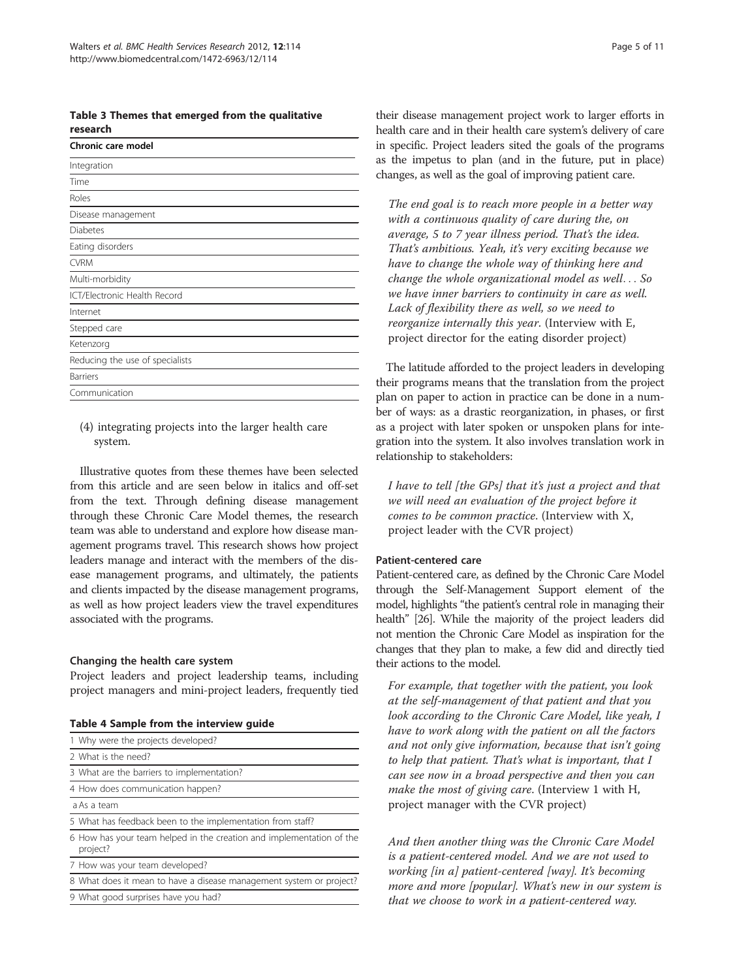<span id="page-4-0"></span>Table 3 Themes that emerged from the qualitative research

| Chronic care model              |  |  |
|---------------------------------|--|--|
| Integration                     |  |  |
| Time                            |  |  |
| Roles                           |  |  |
| Disease management              |  |  |
| <b>Diabetes</b>                 |  |  |
| Eating disorders                |  |  |
| <b>CVRM</b>                     |  |  |
| Multi-morbidity                 |  |  |
| ICT/Electronic Health Record    |  |  |
| Internet                        |  |  |
| Stepped care                    |  |  |
| Ketenzorg                       |  |  |
| Reducing the use of specialists |  |  |
| <b>Barriers</b>                 |  |  |
| Communication                   |  |  |

# (4) integrating projects into the larger health care system.

Illustrative quotes from these themes have been selected from this article and are seen below in italics and off-set from the text. Through defining disease management through these Chronic Care Model themes, the research team was able to understand and explore how disease management programs travel. This research shows how project leaders manage and interact with the members of the disease management programs, and ultimately, the patients and clients impacted by the disease management programs, as well as how project leaders view the travel expenditures associated with the programs.

#### Changing the health care system

Project leaders and project leadership teams, including project managers and mini-project leaders, frequently tied

|  |  |  |  | Table 4 Sample from the interview guide |  |
|--|--|--|--|-----------------------------------------|--|
|--|--|--|--|-----------------------------------------|--|

| 1 Why were the projects developed?                                               |
|----------------------------------------------------------------------------------|
| 2 What is the need?                                                              |
| 3 What are the barriers to implementation?                                       |
| 4 How does communication happen?                                                 |
| a As a team                                                                      |
| 5 What has feedback been to the implementation from staff?                       |
| 6 How has your team helped in the creation and implementation of the<br>project? |
| 7 How was your team developed?                                                   |
| 8 What does it mean to have a disease management system or project?              |
| 9 What good surprises have you had?                                              |

their disease management project work to larger efforts in health care and in their health care system's delivery of care in specific. Project leaders sited the goals of the programs as the impetus to plan (and in the future, put in place) changes, as well as the goal of improving patient care.

The end goal is to reach more people in a better way with a continuous quality of care during the, on average, 5 to 7 year illness period. That's the idea. That's ambitious. Yeah, it's very exciting because we have to change the whole way of thinking here and change the whole organizational model as well... So we have inner barriers to continuity in care as well. Lack of flexibility there as well, so we need to reorganize internally this year. (Interview with E, project director for the eating disorder project)

The latitude afforded to the project leaders in developing their programs means that the translation from the project plan on paper to action in practice can be done in a number of ways: as a drastic reorganization, in phases, or first as a project with later spoken or unspoken plans for integration into the system. It also involves translation work in relationship to stakeholders:

I have to tell [the GPs] that it's just a project and that we will need an evaluation of the project before it comes to be common practice. (Interview with X, project leader with the CVR project)

#### Patient-centered care

Patient-centered care, as defined by the Chronic Care Model through the Self-Management Support element of the model, highlights "the patient's central role in managing their health" [[26\]](#page-10-0). While the majority of the project leaders did not mention the Chronic Care Model as inspiration for the changes that they plan to make, a few did and directly tied their actions to the model.

For example, that together with the patient, you look at the self-management of that patient and that you look according to the Chronic Care Model, like yeah, I have to work along with the patient on all the factors and not only give information, because that isn't going to help that patient. That's what is important, that I can see now in a broad perspective and then you can make the most of giving care. (Interview 1 with H, project manager with the CVR project)

And then another thing was the Chronic Care Model is a patient-centered model. And we are not used to working [in a] patient-centered [way]. It's becoming more and more [popular]. What's new in our system is that we choose to work in a patient-centered way.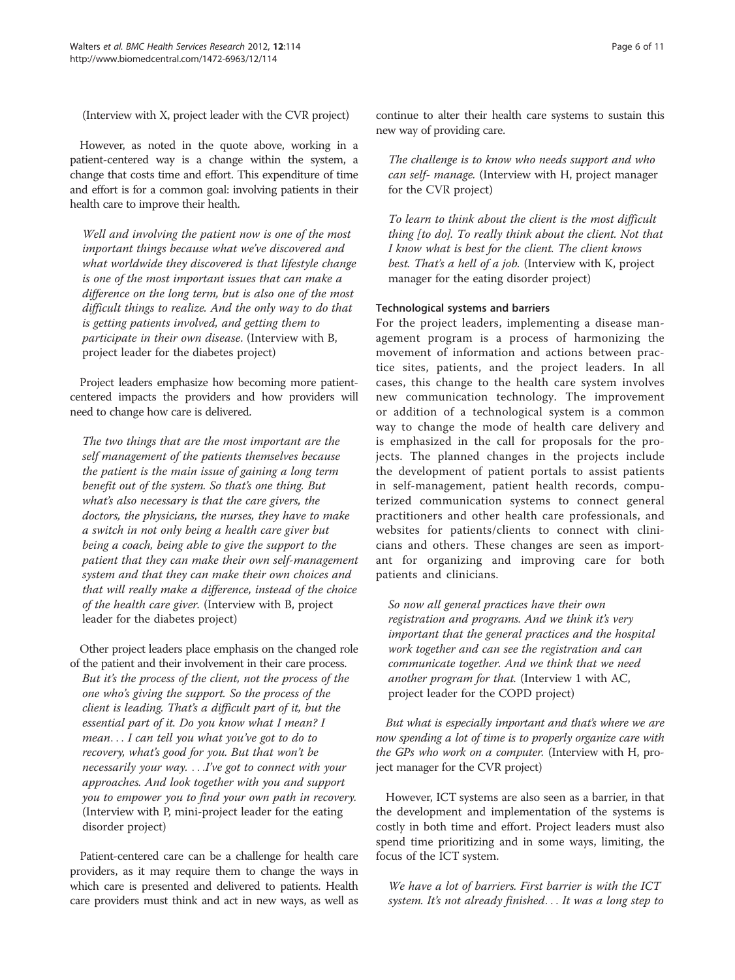(Interview with X, project leader with the CVR project)

However, as noted in the quote above, working in a patient-centered way is a change within the system, a change that costs time and effort. This expenditure of time and effort is for a common goal: involving patients in their health care to improve their health.

Well and involving the patient now is one of the most important things because what we've discovered and what worldwide they discovered is that lifestyle change is one of the most important issues that can make a difference on the long term, but is also one of the most difficult things to realize. And the only way to do that is getting patients involved, and getting them to participate in their own disease. (Interview with B, project leader for the diabetes project)

Project leaders emphasize how becoming more patientcentered impacts the providers and how providers will need to change how care is delivered.

The two things that are the most important are the self management of the patients themselves because the patient is the main issue of gaining a long term benefit out of the system. So that's one thing. But what's also necessary is that the care givers, the doctors, the physicians, the nurses, they have to make a switch in not only being a health care giver but being a coach, being able to give the support to the patient that they can make their own self-management system and that they can make their own choices and that will really make a difference, instead of the choice of the health care giver. (Interview with B, project leader for the diabetes project)

Other project leaders place emphasis on the changed role of the patient and their involvement in their care process.

But it's the process of the client, not the process of the one who's giving the support. So the process of the client is leading. That's a difficult part of it, but the essential part of it. Do you know what I mean? I mean... I can tell you what you've got to do to recovery, what's good for you. But that won't be necessarily your way. ...I've got to connect with your approaches. And look together with you and support you to empower you to find your own path in recovery. (Interview with P, mini-project leader for the eating disorder project)

Patient-centered care can be a challenge for health care providers, as it may require them to change the ways in which care is presented and delivered to patients. Health care providers must think and act in new ways, as well as continue to alter their health care systems to sustain this new way of providing care.

The challenge is to know who needs support and who can self- manage. (Interview with H, project manager for the CVR project)

To learn to think about the client is the most difficult thing [to do]. To really think about the client. Not that I know what is best for the client. The client knows best. That's a hell of a job. (Interview with K, project manager for the eating disorder project)

#### Technological systems and barriers

For the project leaders, implementing a disease management program is a process of harmonizing the movement of information and actions between practice sites, patients, and the project leaders. In all cases, this change to the health care system involves new communication technology. The improvement or addition of a technological system is a common way to change the mode of health care delivery and is emphasized in the call for proposals for the projects. The planned changes in the projects include the development of patient portals to assist patients in self-management, patient health records, computerized communication systems to connect general practitioners and other health care professionals, and websites for patients/clients to connect with clinicians and others. These changes are seen as important for organizing and improving care for both patients and clinicians.

So now all general practices have their own registration and programs. And we think it's very important that the general practices and the hospital work together and can see the registration and can communicate together. And we think that we need another program for that. (Interview 1 with AC, project leader for the COPD project)

But what is especially important and that's where we are now spending a lot of time is to properly organize care with the GPs who work on a computer. (Interview with H, project manager for the CVR project)

However, ICT systems are also seen as a barrier, in that the development and implementation of the systems is costly in both time and effort. Project leaders must also spend time prioritizing and in some ways, limiting, the focus of the ICT system.

We have a lot of barriers. First barrier is with the ICT system. It's not already finished... It was a long step to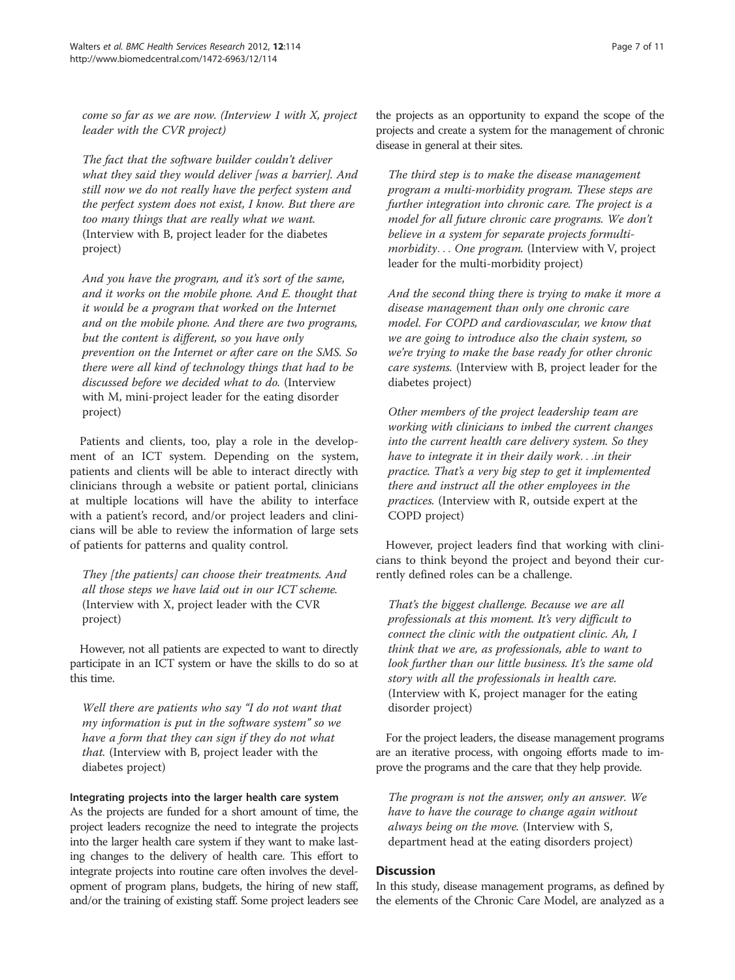come so far as we are now. (Interview 1 with X, project leader with the CVR project)

The fact that the software builder couldn't deliver what they said they would deliver [was a barrier]. And still now we do not really have the perfect system and the perfect system does not exist, I know. But there are too many things that are really what we want. (Interview with B, project leader for the diabetes project)

And you have the program, and it's sort of the same, and it works on the mobile phone. And E. thought that it would be a program that worked on the Internet and on the mobile phone. And there are two programs, but the content is different, so you have only prevention on the Internet or after care on the SMS. So there were all kind of technology things that had to be discussed before we decided what to do. (Interview with M, mini-project leader for the eating disorder project)

Patients and clients, too, play a role in the development of an ICT system. Depending on the system, patients and clients will be able to interact directly with clinicians through a website or patient portal, clinicians at multiple locations will have the ability to interface with a patient's record, and/or project leaders and clinicians will be able to review the information of large sets of patients for patterns and quality control.

They [the patients] can choose their treatments. And all those steps we have laid out in our ICT scheme. (Interview with X, project leader with the CVR project)

However, not all patients are expected to want to directly participate in an ICT system or have the skills to do so at this time.

Well there are patients who say "I do not want that my information is put in the software system" so we have a form that they can sign if they do not what that. (Interview with B, project leader with the diabetes project)

#### Integrating projects into the larger health care system

As the projects are funded for a short amount of time, the project leaders recognize the need to integrate the projects into the larger health care system if they want to make lasting changes to the delivery of health care. This effort to integrate projects into routine care often involves the development of program plans, budgets, the hiring of new staff, and/or the training of existing staff. Some project leaders see

the projects as an opportunity to expand the scope of the projects and create a system for the management of chronic disease in general at their sites.

The third step is to make the disease management program a multi-morbidity program. These steps are further integration into chronic care. The project is a model for all future chronic care programs. We don't believe in a system for separate projects formultimorbidity... One program. (Interview with V, project leader for the multi-morbidity project)

And the second thing there is trying to make it more a disease management than only one chronic care model. For COPD and cardiovascular, we know that we are going to introduce also the chain system, so we're trying to make the base ready for other chronic care systems. (Interview with B, project leader for the diabetes project)

Other members of the project leadership team are working with clinicians to imbed the current changes into the current health care delivery system. So they have to integrate it in their daily work...in their practice. That's a very big step to get it implemented there and instruct all the other employees in the practices. (Interview with R, outside expert at the COPD project)

However, project leaders find that working with clinicians to think beyond the project and beyond their currently defined roles can be a challenge.

That's the biggest challenge. Because we are all professionals at this moment. It's very difficult to connect the clinic with the outpatient clinic. Ah, I think that we are, as professionals, able to want to look further than our little business. It's the same old story with all the professionals in health care. (Interview with K, project manager for the eating disorder project)

For the project leaders, the disease management programs are an iterative process, with ongoing efforts made to improve the programs and the care that they help provide.

The program is not the answer, only an answer. We have to have the courage to change again without always being on the move. (Interview with S, department head at the eating disorders project)

#### Discussion

In this study, disease management programs, as defined by the elements of the Chronic Care Model, are analyzed as a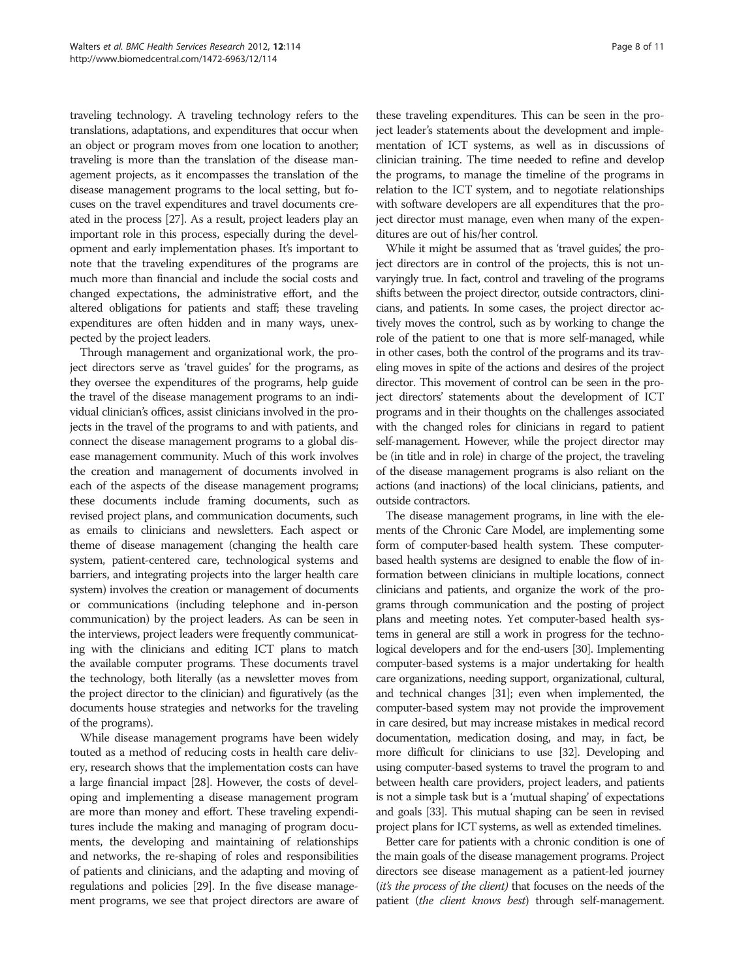traveling technology. A traveling technology refers to the translations, adaptations, and expenditures that occur when an object or program moves from one location to another; traveling is more than the translation of the disease management projects, as it encompasses the translation of the disease management programs to the local setting, but focuses on the travel expenditures and travel documents created in the process [\[27](#page-10-0)]. As a result, project leaders play an important role in this process, especially during the development and early implementation phases. It's important to note that the traveling expenditures of the programs are much more than financial and include the social costs and changed expectations, the administrative effort, and the altered obligations for patients and staff; these traveling expenditures are often hidden and in many ways, unexpected by the project leaders.

Through management and organizational work, the project directors serve as 'travel guides' for the programs, as they oversee the expenditures of the programs, help guide the travel of the disease management programs to an individual clinician's offices, assist clinicians involved in the projects in the travel of the programs to and with patients, and connect the disease management programs to a global disease management community. Much of this work involves the creation and management of documents involved in each of the aspects of the disease management programs; these documents include framing documents, such as revised project plans, and communication documents, such as emails to clinicians and newsletters. Each aspect or theme of disease management (changing the health care system, patient-centered care, technological systems and barriers, and integrating projects into the larger health care system) involves the creation or management of documents or communications (including telephone and in-person communication) by the project leaders. As can be seen in the interviews, project leaders were frequently communicating with the clinicians and editing ICT plans to match the available computer programs. These documents travel the technology, both literally (as a newsletter moves from the project director to the clinician) and figuratively (as the documents house strategies and networks for the traveling of the programs).

While disease management programs have been widely touted as a method of reducing costs in health care delivery, research shows that the implementation costs can have a large financial impact [\[28](#page-10-0)]. However, the costs of developing and implementing a disease management program are more than money and effort. These traveling expenditures include the making and managing of program documents, the developing and maintaining of relationships and networks, the re-shaping of roles and responsibilities of patients and clinicians, and the adapting and moving of regulations and policies [\[29\]](#page-10-0). In the five disease management programs, we see that project directors are aware of

these traveling expenditures. This can be seen in the project leader's statements about the development and implementation of ICT systems, as well as in discussions of clinician training. The time needed to refine and develop the programs, to manage the timeline of the programs in relation to the ICT system, and to negotiate relationships with software developers are all expenditures that the project director must manage, even when many of the expenditures are out of his/her control.

While it might be assumed that as 'travel guides', the project directors are in control of the projects, this is not unvaryingly true. In fact, control and traveling of the programs shifts between the project director, outside contractors, clinicians, and patients. In some cases, the project director actively moves the control, such as by working to change the role of the patient to one that is more self-managed, while in other cases, both the control of the programs and its traveling moves in spite of the actions and desires of the project director. This movement of control can be seen in the project directors' statements about the development of ICT programs and in their thoughts on the challenges associated with the changed roles for clinicians in regard to patient self-management. However, while the project director may be (in title and in role) in charge of the project, the traveling of the disease management programs is also reliant on the actions (and inactions) of the local clinicians, patients, and outside contractors.

The disease management programs, in line with the elements of the Chronic Care Model, are implementing some form of computer-based health system. These computerbased health systems are designed to enable the flow of information between clinicians in multiple locations, connect clinicians and patients, and organize the work of the programs through communication and the posting of project plans and meeting notes. Yet computer-based health systems in general are still a work in progress for the technological developers and for the end-users [[30\]](#page-10-0). Implementing computer-based systems is a major undertaking for health care organizations, needing support, organizational, cultural, and technical changes [\[31\]](#page-10-0); even when implemented, the computer-based system may not provide the improvement in care desired, but may increase mistakes in medical record documentation, medication dosing, and may, in fact, be more difficult for clinicians to use [\[32](#page-10-0)]. Developing and using computer-based systems to travel the program to and between health care providers, project leaders, and patients is not a simple task but is a 'mutual shaping' of expectations and goals [\[33\]](#page-10-0). This mutual shaping can be seen in revised project plans for ICT systems, as well as extended timelines.

Better care for patients with a chronic condition is one of the main goals of the disease management programs. Project directors see disease management as a patient-led journey (*it's the process of the client*) that focuses on the needs of the patient (the client knows best) through self-management.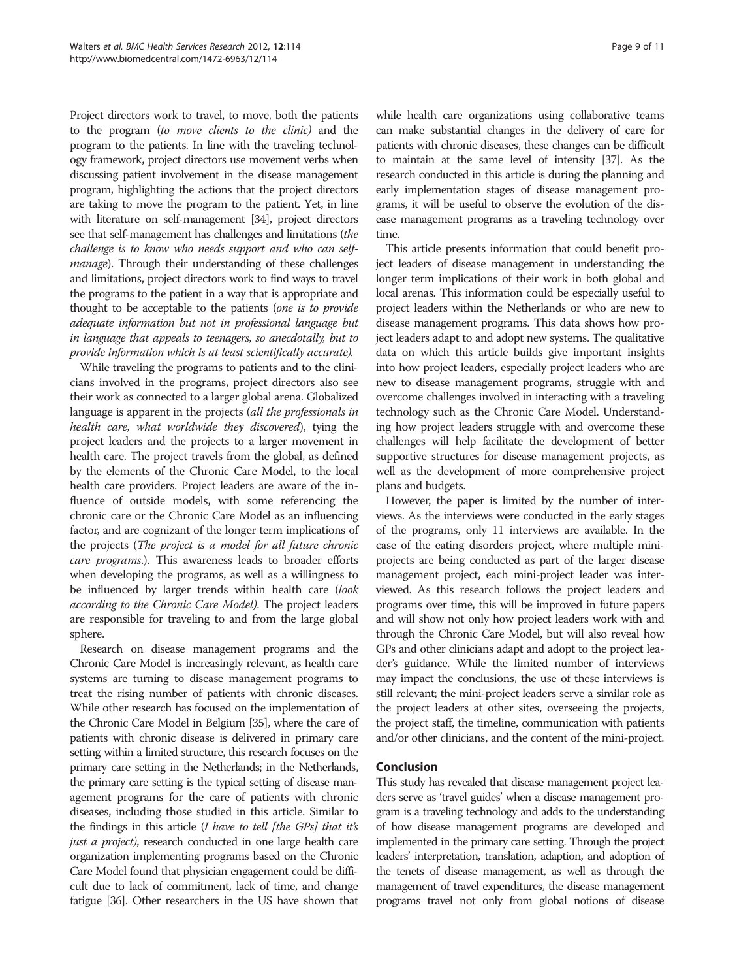Project directors work to travel, to move, both the patients to the program (to move clients to the clinic) and the program to the patients. In line with the traveling technology framework, project directors use movement verbs when discussing patient involvement in the disease management program, highlighting the actions that the project directors are taking to move the program to the patient. Yet, in line with literature on self-management [\[34](#page-10-0)], project directors see that self-management has challenges and limitations (the challenge is to know who needs support and who can selfmanage). Through their understanding of these challenges and limitations, project directors work to find ways to travel the programs to the patient in a way that is appropriate and thought to be acceptable to the patients (one is to provide adequate information but not in professional language but in language that appeals to teenagers, so anecdotally, but to provide information which is at least scientifically accurate).

While traveling the programs to patients and to the clinicians involved in the programs, project directors also see their work as connected to a larger global arena. Globalized language is apparent in the projects (all the professionals in health care, what worldwide they discovered), tying the project leaders and the projects to a larger movement in health care. The project travels from the global, as defined by the elements of the Chronic Care Model, to the local health care providers. Project leaders are aware of the influence of outside models, with some referencing the chronic care or the Chronic Care Model as an influencing factor, and are cognizant of the longer term implications of the projects (The project is a model for all future chronic care programs.). This awareness leads to broader efforts when developing the programs, as well as a willingness to be influenced by larger trends within health care (look according to the Chronic Care Model). The project leaders are responsible for traveling to and from the large global sphere.

Research on disease management programs and the Chronic Care Model is increasingly relevant, as health care systems are turning to disease management programs to treat the rising number of patients with chronic diseases. While other research has focused on the implementation of the Chronic Care Model in Belgium [[35](#page-10-0)], where the care of patients with chronic disease is delivered in primary care setting within a limited structure, this research focuses on the primary care setting in the Netherlands; in the Netherlands, the primary care setting is the typical setting of disease management programs for the care of patients with chronic diseases, including those studied in this article. Similar to the findings in this article (I have to tell [the GPs] that it's just a project), research conducted in one large health care organization implementing programs based on the Chronic Care Model found that physician engagement could be difficult due to lack of commitment, lack of time, and change fatigue [\[36\]](#page-10-0). Other researchers in the US have shown that while health care organizations using collaborative teams can make substantial changes in the delivery of care for patients with chronic diseases, these changes can be difficult to maintain at the same level of intensity [[37\]](#page-10-0). As the research conducted in this article is during the planning and early implementation stages of disease management programs, it will be useful to observe the evolution of the disease management programs as a traveling technology over time.

This article presents information that could benefit project leaders of disease management in understanding the longer term implications of their work in both global and local arenas. This information could be especially useful to project leaders within the Netherlands or who are new to disease management programs. This data shows how project leaders adapt to and adopt new systems. The qualitative data on which this article builds give important insights into how project leaders, especially project leaders who are new to disease management programs, struggle with and overcome challenges involved in interacting with a traveling technology such as the Chronic Care Model. Understanding how project leaders struggle with and overcome these challenges will help facilitate the development of better supportive structures for disease management projects, as well as the development of more comprehensive project plans and budgets.

However, the paper is limited by the number of interviews. As the interviews were conducted in the early stages of the programs, only 11 interviews are available. In the case of the eating disorders project, where multiple miniprojects are being conducted as part of the larger disease management project, each mini-project leader was interviewed. As this research follows the project leaders and programs over time, this will be improved in future papers and will show not only how project leaders work with and through the Chronic Care Model, but will also reveal how GPs and other clinicians adapt and adopt to the project leader's guidance. While the limited number of interviews may impact the conclusions, the use of these interviews is still relevant; the mini-project leaders serve a similar role as the project leaders at other sites, overseeing the projects, the project staff, the timeline, communication with patients and/or other clinicians, and the content of the mini-project.

# Conclusion

This study has revealed that disease management project leaders serve as 'travel guides' when a disease management program is a traveling technology and adds to the understanding of how disease management programs are developed and implemented in the primary care setting. Through the project leaders' interpretation, translation, adaption, and adoption of the tenets of disease management, as well as through the management of travel expenditures, the disease management programs travel not only from global notions of disease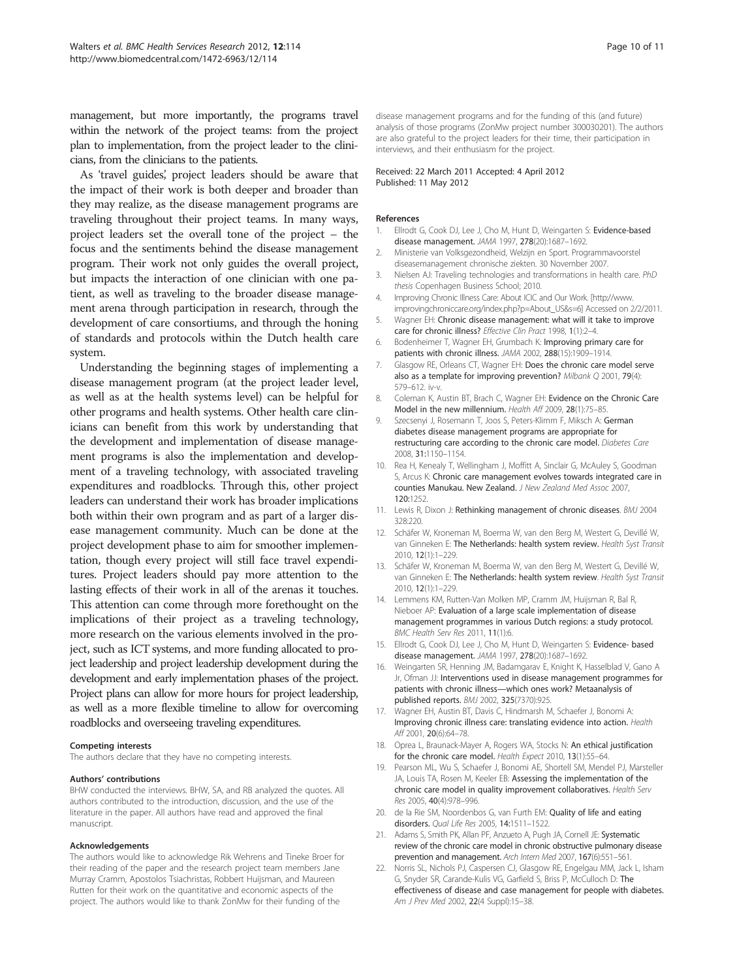<span id="page-9-0"></span>management, but more importantly, the programs travel within the network of the project teams: from the project plan to implementation, from the project leader to the clinicians, from the clinicians to the patients.

As 'travel guides', project leaders should be aware that the impact of their work is both deeper and broader than they may realize, as the disease management programs are traveling throughout their project teams. In many ways, project leaders set the overall tone of the project – the focus and the sentiments behind the disease management program. Their work not only guides the overall project, but impacts the interaction of one clinician with one patient, as well as traveling to the broader disease management arena through participation in research, through the development of care consortiums, and through the honing of standards and protocols within the Dutch health care system.

Understanding the beginning stages of implementing a disease management program (at the project leader level, as well as at the health systems level) can be helpful for other programs and health systems. Other health care clinicians can benefit from this work by understanding that the development and implementation of disease management programs is also the implementation and development of a traveling technology, with associated traveling expenditures and roadblocks. Through this, other project leaders can understand their work has broader implications both within their own program and as part of a larger disease management community. Much can be done at the project development phase to aim for smoother implementation, though every project will still face travel expenditures. Project leaders should pay more attention to the lasting effects of their work in all of the arenas it touches. This attention can come through more forethought on the implications of their project as a traveling technology, more research on the various elements involved in the project, such as ICT systems, and more funding allocated to project leadership and project leadership development during the development and early implementation phases of the project. Project plans can allow for more hours for project leadership, as well as a more flexible timeline to allow for overcoming roadblocks and overseeing traveling expenditures.

#### Competing interests

The authors declare that they have no competing interests.

#### Authors' contributions

BHW conducted the interviews. BHW, SA, and RB analyzed the quotes. All authors contributed to the introduction, discussion, and the use of the literature in the paper. All authors have read and approved the final manuscript.

#### Acknowledgements

The authors would like to acknowledge Rik Wehrens and Tineke Broer for their reading of the paper and the research project team members Jane Murray Cramm, Apostolos Tsiachristas, Robbert Huijsman, and Maureen Rutten for their work on the quantitative and economic aspects of the project. The authors would like to thank ZonMw for their funding of the

disease management programs and for the funding of this (and future) analysis of those programs (ZonMw project number 300030201). The authors are also grateful to the project leaders for their time, their participation in interviews, and their enthusiasm for the project.

#### Received: 22 March 2011 Accepted: 4 April 2012 Published: 11 May 2012

#### References

- 1. Ellrodt G, Cook DJ, Lee J, Cho M, Hunt D, Weingarten S: Evidence-based disease management. JAMA 1997, 278(20):1687–1692.
- 2. Ministerie van Volksgezondheid, Welzijn en Sport. Programmavoorstel diseasemanagement chronische ziekten. 30 November 2007.
- 3. Nielsen AJ: Traveling technologies and transformations in health care. PhD thesis Copenhagen Business School; 2010.
- 4. Improving Chronic Illness Care: About ICIC and Our Work. [\[http://www.](http://www.improvingchroniccare.org/index.php?p=About_US&s=6) [improvingchroniccare.org/index.php?p=About\\_US&s=6](http://www.improvingchroniccare.org/index.php?p=About_US&s=6)] Accessed on 2/2/2011.
- 5. Wagner EH: Chronic disease management: what will it take to improve care for chronic illness? Effective Clin Pract 1998, 1(1):2–4.
- 6. Bodenheimer T, Wagner EH, Grumbach K: Improving primary care for patients with chronic illness. JAMA 2002, 288(15):1909–1914.
- 7. Glasgow RE, Orleans CT, Wagner EH: Does the chronic care model serve also as a template for improving prevention? Milbank Q 2001, 79(4): 579–612. iv-v.
- 8. Coleman K, Austin BT, Brach C, Wagner EH: Evidence on the Chronic Care Model in the new millennium. Health Aff 2009, 28(1):75–85.
- 9. Szecsenyi J, Rosemann T, Joos S, Peters-Klimm F, Miksch A: German diabetes disease management programs are appropriate for restructuring care according to the chronic care model. Diabetes Care 2008, 31:1150–1154.
- 10. Rea H, Kenealy T, Wellingham J, Moffitt A, Sinclair G, McAuley S, Goodman S, Arcus K: Chronic care management evolves towards integrated care in counties Manukau. New Zealand. J New Zealand Med Assoc 2007, 120:1252.
- 11. Lewis R, Dixon J: Rethinking management of chronic diseases. BMJ 2004 328:220.
- 12. Schäfer W, Kroneman M, Boerma W, van den Berg M, Westert G, Devillé W, van Ginneken E: The Netherlands: health system review. Health Syst Transit 2010, 12(1):1–229.
- 13. Schäfer W, Kroneman M, Boerma W, van den Berg M, Westert G, Devillé W, van Ginneken E: The Netherlands: health system review. Health Syst Transit 2010, 12(1):1–229.
- 14. Lemmens KM, Rutten-Van Molken MP, Cramm JM, Huijsman R, Bal R, Nieboer AP: Evaluation of a large scale implementation of disease management programmes in various Dutch regions: a study protocol. BMC Health Serv Res 2011, 11(1):6.
- 15. Ellrodt G, Cook DJ, Lee J, Cho M, Hunt D, Weingarten S: Evidence- based disease management. JAMA 1997, 278(20):1687–1692.
- 16. Weingarten SR, Henning JM, Badamgarav E, Knight K, Hasselblad V, Gano A Jr, Ofman JJ: Interventions used in disease management programmes for patients with chronic illness—which ones work? Metaanalysis of published reports. BMJ 2002, 325(7370):925.
- 17. Wagner EH, Austin BT, Davis C, Hindmarsh M, Schaefer J, Bonomi A: Improving chronic illness care: translating evidence into action. Health Aff 2001, 20(6):64–78.
- 18. Oprea L, Braunack-Mayer A, Rogers WA, Stocks N: An ethical justification for the chronic care model. Health Expect 2010, 13(1):55–64.
- 19. Pearson ML, Wu S, Schaefer J, Bonomi AE, Shortell SM, Mendel PJ, Marsteller JA, Louis TA, Rosen M, Keeler EB: Assessing the implementation of the chronic care model in quality improvement collaboratives. Health Serv Res 2005, 40(4):978–996.
- 20. de la Rie SM, Noordenbos G, van Furth EM: Quality of life and eating disorders. Qual Life Res 2005, 14:1511–1522.
- 21. Adams S, Smith PK, Allan PF, Anzueto A, Pugh JA, Cornell JE: Systematic review of the chronic care model in chronic obstructive pulmonary disease prevention and management. Arch Intern Med 2007, 167(6):551–561.
- 22. Norris SL, Nichols PJ, Caspersen CJ, Glasgow RE, Engelgau MM, Jack L, Isham G, Snyder SR, Carande-Kulis VG, Garfield S, Briss P, McCulloch D: The effectiveness of disease and case management for people with diabetes. Am J Prev Med 2002, 22(4 Suppl):15–38.